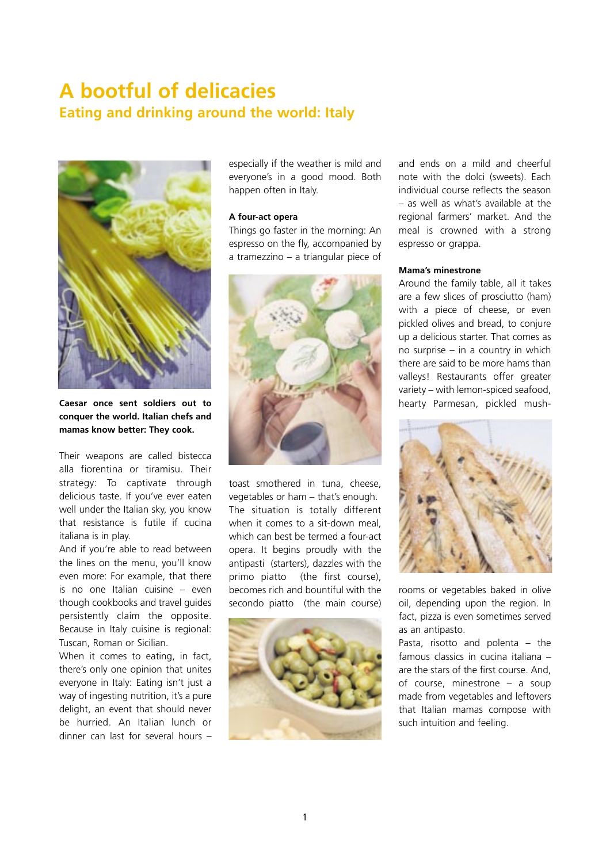# **A bootful of delicacies Eating and drinking around the world: Italy**



**Caesar once sent soldiers out to conquer the world. Italian chefs and mamas know better: They cook.**

Their weapons are called bistecca alla fiorentina or tiramisu. Their strategy: To captivate through delicious taste. If you've ever eaten well under the Italian sky, you know that resistance is futile if cucina italiana is in play.

And if you're able to read between the lines on the menu, you'll know even more: For example, that there is no one Italian cuisine – even though cookbooks and travel guides persistently claim the opposite. Because in Italy cuisine is regional: Tuscan, Roman or Sicilian.

When it comes to eating, in fact, there's only one opinion that unites everyone in Italy: Eating isn't just a way of ingesting nutrition, it's a pure delight, an event that should never be hurried. An Italian lunch or dinner can last for several hours –

especially if the weather is mild and everyone's in a good mood. Both happen often in Italy.

## **A four-act opera**

Things go faster in the morning: An espresso on the fly, accompanied by a tramezzino – a triangular piece of



toast smothered in tuna, cheese, vegetables or ham – that's enough. The situation is totally different when it comes to a sit-down meal. which can best be termed a four-act opera. It begins proudly with the antipasti (starters), dazzles with the primo piatto (the first course), becomes rich and bountiful with the secondo piatto (the main course)



and ends on a mild and cheerful note with the dolci (sweets). Each individual course reflects the season – as well as what's available at the regional farmers' market. And the meal is crowned with a strong espresso or grappa.

#### **Mama's minestrone**

Around the family table, all it takes are a few slices of prosciutto (ham) with a piece of cheese, or even pickled olives and bread, to conjure up a delicious starter. That comes as no surprise – in a country in which there are said to be more hams than valleys! Restaurants offer greater variety – with lemon-spiced seafood, hearty Parmesan, pickled mush-



rooms or vegetables baked in olive oil, depending upon the region. In fact, pizza is even sometimes served as an antipasto.

Pasta, risotto and polenta – the famous classics in cucina italiana – are the stars of the first course. And, of course, minestrone – a soup made from vegetables and leftovers that Italian mamas compose with such intuition and feeling.